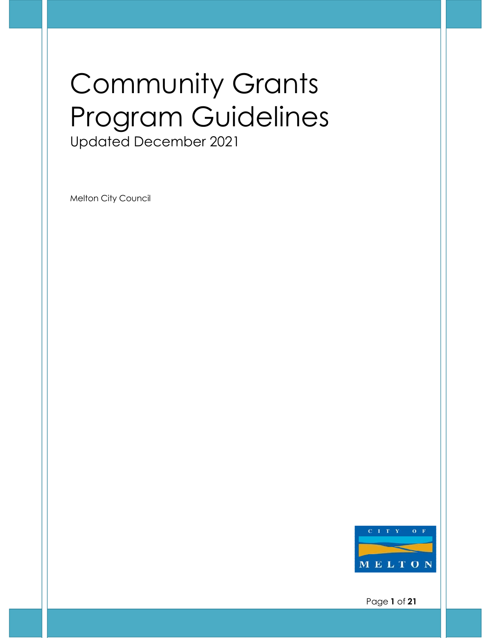# Community Grants Program Guidelines Updated December 2021

Melton City Council



Page **1** of **21**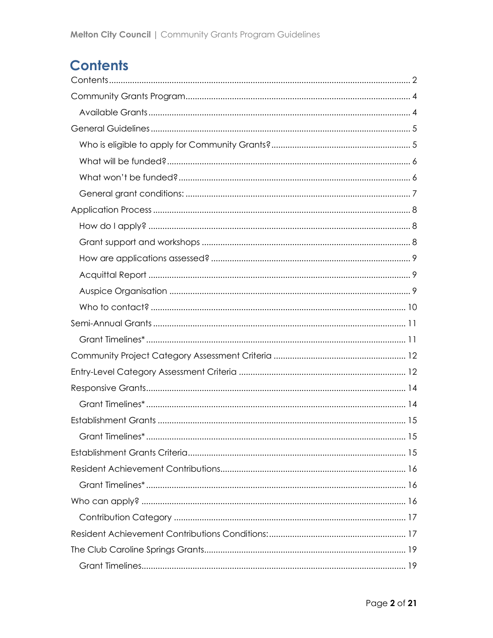# <span id="page-1-0"></span>**Contents**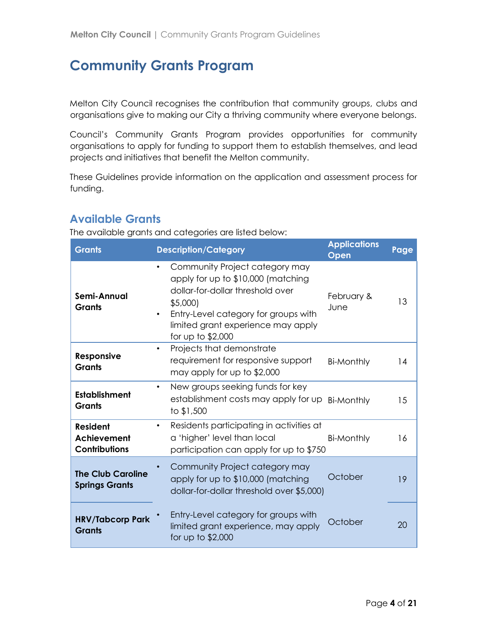# <span id="page-3-0"></span>**Community Grants Program**

Melton City Council recognises the contribution that community groups, clubs and organisations give to making our City a thriving community where everyone belongs.

Council's Community Grants Program provides opportunities for community organisations to apply for funding to support them to establish themselves, and lead projects and initiatives that benefit the Melton community.

These Guidelines provide information on the application and assessment process for funding.

### <span id="page-3-1"></span>**Available Grants**

The available grants and categories are listed below:

| <b>Grants</b>                                                 | <b>Description/Category</b>                                                                                                                                                                                                         | <b>Applications</b><br>Open | Page |
|---------------------------------------------------------------|-------------------------------------------------------------------------------------------------------------------------------------------------------------------------------------------------------------------------------------|-----------------------------|------|
| Semi-Annual<br><b>Grants</b>                                  | Community Project category may<br>$\bullet$<br>apply for up to \$10,000 (matching<br>dollar-for-dollar threshold over<br>\$5,000<br>Entry-Level category for groups with<br>limited grant experience may apply<br>for up to \$2,000 | February &<br><b>June</b>   | 13   |
| <b>Responsive</b><br><b>Grants</b>                            | Projects that demonstrate<br>$\bullet$<br>requirement for responsive support<br>may apply for up to \$2,000                                                                                                                         | <b>Bi-Monthly</b>           | 14   |
| <b>Establishment</b><br><b>Grants</b>                         | New groups seeking funds for key<br>$\bullet$<br>establishment costs may apply for up<br>to \$1,500                                                                                                                                 | <b>Bi-Monthly</b>           | 15   |
| <b>Resident</b><br><b>Achievement</b><br><b>Contributions</b> | Residents participating in activities at<br>$\bullet$<br>a 'higher' level than local<br>participation can apply for up to \$750                                                                                                     | <b>Bi-Monthly</b>           | 16   |
| <b>The Club Caroline</b><br><b>Springs Grants</b>             | Community Project category may<br>apply for up to \$10,000 (matching<br>dollar-for-dollar threshold over \$5,000)                                                                                                                   | October                     | 19   |
| <b>HRV/Tabcorp Park</b><br><b>Grants</b>                      | Entry-Level category for groups with<br>limited grant experience, may apply<br>for up to \$2,000                                                                                                                                    | October                     | 20   |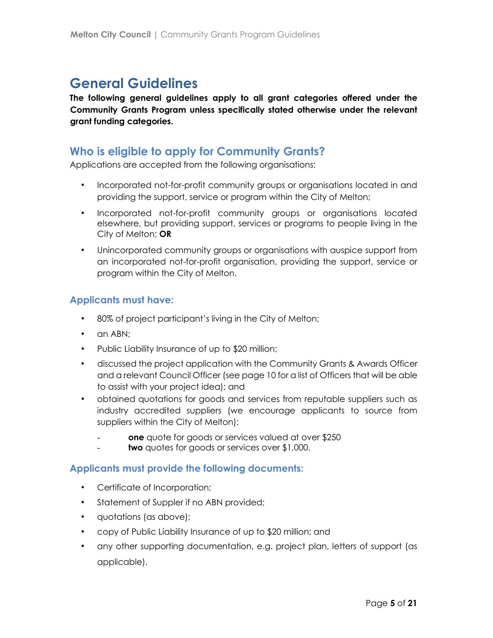# <span id="page-4-0"></span>**General Guidelines**

**The following general guidelines apply to all grant categories offered under the Community Grants Program unless specifically stated otherwise under the relevant grant funding categories.**

### <span id="page-4-1"></span>**Who is eligible to apply for Community Grants?**

Applications are accepted from the following organisations:

- Incorporated not-for-profit community groups or organisations located in and providing the support, service or program within the City of Melton;
- Incorporated not-for-profit community groups or organisations located elsewhere, but providing support, services or programs to people living in the City of Melton; **OR**
- Unincorporated community groups or organisations with auspice support from an incorporated not-for-profit organisation, providing the support, service or program within the City of Melton.

#### **Applicants must have:**

- 80% of project participant's living in the City of Melton;
- an ABN:
- Public Liability Insurance of up to \$20 million;
- discussed the project application with the Community Grants & Awards Officer and a relevant Council Officer (see page 10 for a list of Officers that will be able to assist with your project idea); and
- obtained quotations for goods and services from reputable suppliers such as industry accredited suppliers (we encourage applicants to source from suppliers within the City of Melton):
	- **one** quote for goods or services valued at over \$250
	- two quotes for goods or services over \$1,000.

### **Applicants must provide the following documents:**

- Certificate of Incorporation;
- Statement of Suppler if no ABN provided;
- quotations (as above);
- copy of Public Liability Insurance of up to \$20 million; and
- any other supporting documentation, e.g. project plan, letters of support (as applicable).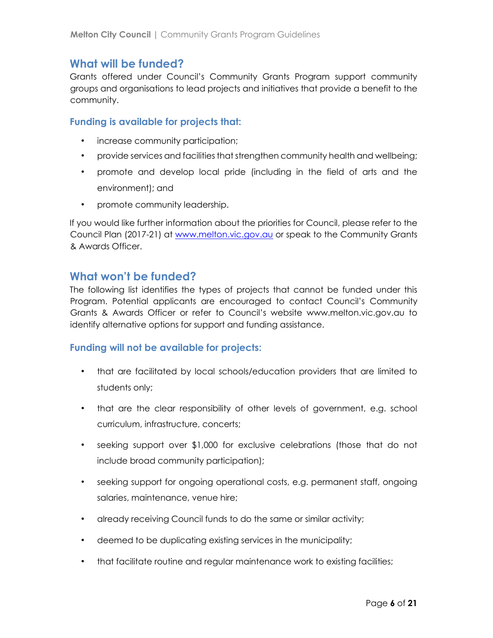### <span id="page-5-0"></span>**What will be funded?**

Grants offered under Council's Community Grants Program support community groups and organisations to lead projects and initiatives that provide a benefit to the community.

#### **Funding is available for projects that:**

- increase community participation;
- provide services and facilities that strengthen community health and wellbeing;
- promote and develop local pride (including in the field of arts and the environment); and
- promote community leadership.

If you would like further information about the priorities for Council, please refer to the Council Plan (2017-21) at www.melton.vic.gov.au or speak to the Community Grants & Awards Officer.

### <span id="page-5-1"></span>**What won't be funded?**

The following list identifies the types of projects that cannot be funded under this Program. Potential applicants are encouraged to contact Council's Community Grants & Awards Officer or refer to Council's website www.melton.vic.gov.au to identify alternative options for support and funding assistance.

#### **Funding will not be available for projects:**

- that are facilitated by local schools/education providers that are limited to students only;
- that are the clear responsibility of other levels of government, e.g. school curriculum, infrastructure, concerts;
- seeking support over \$1,000 for exclusive celebrations (those that do not include broad community participation);
- seeking support for ongoing operational costs, e.g. permanent staff, ongoing salaries, maintenance, venue hire;
- already receiving Council funds to do the same or similar activity;
- deemed to be duplicating existing services in the municipality;
- that facilitate routine and regular maintenance work to existing facilities;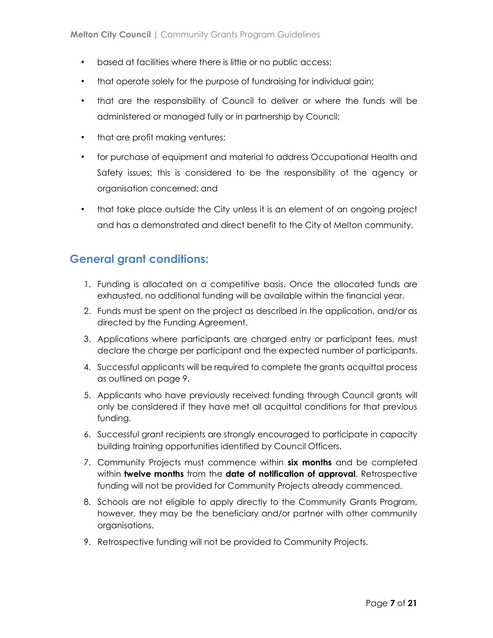- based at facilities where there is little or no public access;
- that operate solely for the purpose of fundraising for individual gain;
- that are the responsibility of Council to deliver or where the funds will be administered or managed fully or in partnership by Council;
- that are profit making ventures;
- for purchase of equipment and material to address Occupational Health and Safety issues; this is considered to be the responsibility of the agency or organisation concerned; and
- that take place outside the City unless it is an element of an ongoing project and has a demonstrated and direct benefit to the City of Melton community.

### <span id="page-6-0"></span>**General grant conditions:**

- 1. Funding is allocated on a competitive basis. Once the allocated funds are exhausted, no additional funding will be available within the financial year.
- 2. Funds must be spent on the project as described in the application, and/or as directed by the Funding Agreement.
- 3. Applications where participants are charged entry or participant fees, must declare the charge per participant and the expected number of participants.
- 4. Successful applicants will be required to complete the grants acquittal process as outlined on page 9.
- 5. Applicants who have previously received funding through Council grants will only be considered if they have met all acquittal conditions for that previous funding.
- 6. Successful grant recipients are strongly encouraged to participate in capacity building training opportunities identified by Council Officers.
- 7. Community Projects must commence within **six months** and be completed within **twelve months** from the **date of notification of approval**. Retrospective funding will not be provided for Community Projects already commenced.
- 8. Schools are not eligible to apply directly to the Community Grants Program, however, they may be the beneficiary and/or partner with other community organisations.
- 9. Retrospective funding will not be provided to Community Projects.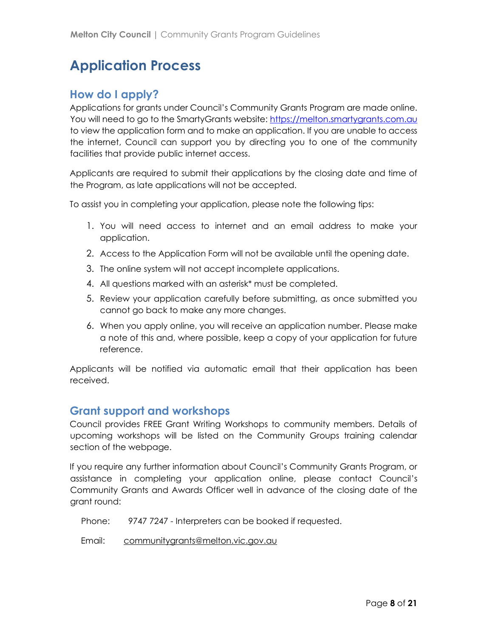# <span id="page-7-0"></span>**Application Process**

### <span id="page-7-1"></span>**How do I apply?**

Applications for grants under Council's Community Grants Program are made online. You will need to go to the SmartyGrants website: https://melton.smartygrants.com.au to view the application form and to make an application. If you are unable to access the internet, Council can support you by directing you to one of the community facilities that provide public internet access.

Applicants are required to submit their applications by the closing date and time of the Program, as late applications will not be accepted.

To assist you in completing your application, please note the following tips:

- 1. You will need access to internet and an email address to make your application.
- 2. Access to the Application Form will not be available until the opening date.
- 3. The online system will not accept incomplete applications.
- 4. All questions marked with an asterisk\* must be completed.
- 5. Review your application carefully before submitting, as once submitted you cannot go back to make any more changes.
- 6. When you apply online, you will receive an application number. Please make a note of this and, where possible, keep a copy of your application for future reference.

Applicants will be notified via automatic email that their application has been received.

### <span id="page-7-2"></span>**Grant support and workshops**

Council provides FREE Grant Writing Workshops to community members. Details of upcoming workshops will be listed on the Community Groups training calendar section of the webpage.

If you require any further information about Council's Community Grants Program, or assistance in completing your application online, please contact Council's Community Grants and Awards Officer well in advance of the closing date of the grant round:

Phone: 9747 7247 - Interpreters can be booked if requested.

Email: communitygrants@melton.vic.gov.au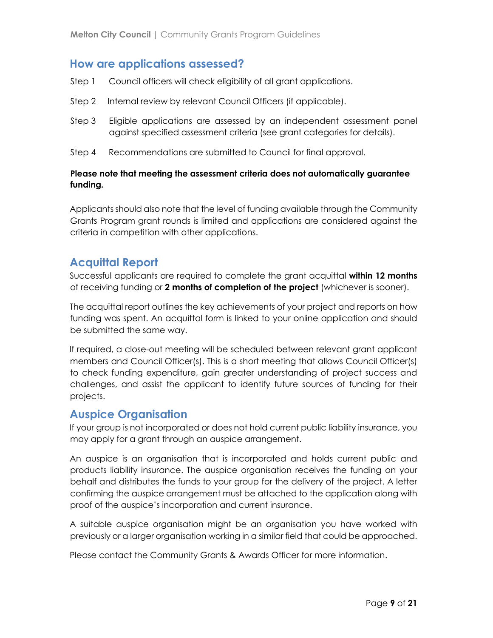### <span id="page-8-0"></span>**How are applications assessed?**

- Step 1 Council officers will check eligibility of all grant applications.
- Step 2 Internal review by relevant Council Officers (if applicable).
- Step 3 Eligible applications are assessed by an independent assessment panel against specified assessment criteria (see grant categories for details).
- Step 4 Recommendations are submitted to Council for final approval.

#### **Please note that meeting the assessment criteria does not automatically guarantee funding.**

Applicants should also note that the level of funding available through the Community Grants Program grant rounds is limited and applications are considered against the criteria in competition with other applications.

### <span id="page-8-1"></span>**Acquittal Report**

Successful applicants are required to complete the grant acquittal **within 12 months** of receiving funding or **2 months of completion of the project** (whichever is sooner).

The acquittal report outlines the key achievements of your project and reports on how funding was spent. An acquittal form is linked to your online application and should be submitted the same way.

If required, a close-out meeting will be scheduled between relevant grant applicant members and Council Officer(s). This is a short meeting that allows Council Officer(s) to check funding expenditure, gain greater understanding of project success and challenges, and assist the applicant to identify future sources of funding for their projects.

### <span id="page-8-2"></span>**Auspice Organisation**

If your group is not incorporated or does not hold current public liability insurance, you may apply for a grant through an auspice arrangement.

An auspice is an organisation that is incorporated and holds current public and products liability insurance. The auspice organisation receives the funding on your behalf and distributes the funds to your group for the delivery of the project. A letter confirming the auspice arrangement must be attached to the application along with proof of the auspice's incorporation and current insurance.

A suitable auspice organisation might be an organisation you have worked with previously or a larger organisation working in a similar field that could be approached.

Please contact the Community Grants & Awards Officer for more information.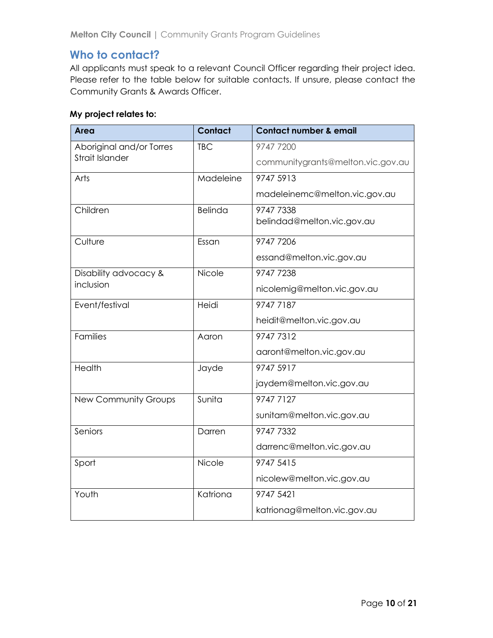### <span id="page-9-0"></span>**Who to contact?**

All applicants must speak to a relevant Council Officer regarding their project idea. Please refer to the table below for suitable contacts. If unsure, please contact the Community Grants & Awards Officer.

#### **My project relates to:**

| <b>Area</b>                 | Contact        | <b>Contact number &amp; email</b> |
|-----------------------------|----------------|-----------------------------------|
| Aboriginal and/or Torres    | <b>TBC</b>     | 9747 7200                         |
| <b>Strait Islander</b>      |                | communitygrants@melton.vic.gov.au |
| Arts                        | Madeleine      | 9747 5913                         |
|                             |                | madeleinemc@melton.vic.gov.au     |
| Children                    | <b>Belinda</b> | 9747 7338                         |
|                             |                | belindad@melton.vic.gov.au        |
| Culture                     | Essan          | 9747 7206                         |
|                             |                | essand@melton.vic.gov.au          |
| Disability advocacy &       | Nicole         | 9747 7238                         |
| inclusion                   |                | nicolemig@melton.vic.gov.au       |
| Event/festival              | Heidi          | 9747 7187                         |
|                             |                | heidit@melton.vic.gov.au          |
| <b>Families</b>             | Aaron          | 9747 7312                         |
|                             |                | aaront@melton.vic.gov.au          |
| Health                      | Jayde          | 9747 5917                         |
|                             |                | jaydem@melton.vic.gov.au          |
| <b>New Community Groups</b> | Sunita         | 9747 7127                         |
|                             |                | sunitam@melton.vic.gov.au         |
| Seniors                     | Darren         | 9747 7332                         |
|                             |                | darrenc@melton.vic.gov.au         |
| Sport                       | Nicole         | 9747 5415                         |
|                             |                | nicolew@melton.vic.gov.au         |
| Youth                       | Katriona       | 9747 5421                         |
|                             |                | katrionag@melton.vic.gov.au       |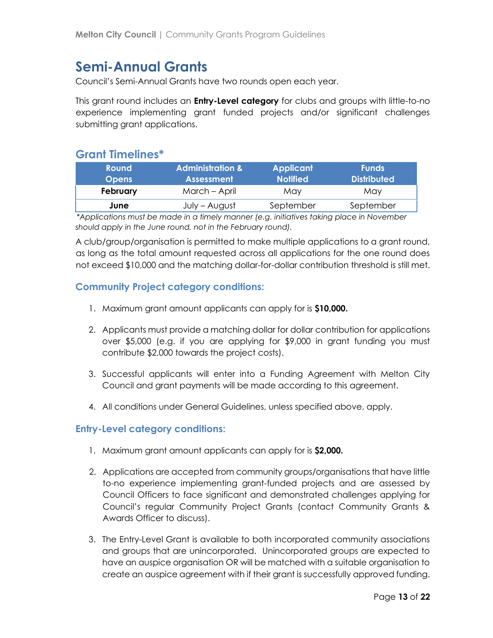# <span id="page-10-0"></span>**Semi-Annual Grants**

Council's Semi-Annual Grants have two rounds open each year.

This grant round includes an **Entry-Level category** for clubs and groups with little-to-no experience implementing grant funded projects and/or significant challenges submitting grant applications.

### <span id="page-10-1"></span>**Grant Timelines\***

| <b>Round</b>                                                                                | <b>Administration &amp;</b> | <b>Applicant</b> | <b>Funds</b>       |  |
|---------------------------------------------------------------------------------------------|-----------------------------|------------------|--------------------|--|
| <b>Opens</b>                                                                                | <b>Assessment</b>           | <b>Notified</b>  | <b>Distributed</b> |  |
| February                                                                                    | March – April               | May              | May                |  |
| June                                                                                        | July – August               | September        | September          |  |
| $*$ Applications must be made in a timely manner (e.g. initiatives taking place in November |                             |                  |                    |  |

*\*Applications must be made in a timely manner (e.g. initiatives taking place in November should apply in the June round, not in the February round).*

A club/group/organisation is permitted to make multiple applications to a grant round, as long as the total amount requested across all applications for the one round does not exceed \$10,000 and the matching dollar-for-dollar contribution threshold is still met.

#### **Community Project category conditions:**

- 1. Maximum grant amount applicants can apply for is **\$10,000.**
- 2. Applicants must provide a matching dollar for dollar contribution for applications over \$5,000 (e.g. if you are applying for \$9,000 in grant funding you must contribute \$2,000 towards the project costs).
- 3. Successful applicants will enter into a Funding Agreement with Melton City Council and grant payments will be made according to this agreement.
- 4. All conditions under General Guidelines, unless specified above, apply.

#### **Entry-Level category conditions:**

- 1. Maximum grant amount applicants can apply for is **\$2,000.**
- 2. Applications are accepted from community groups/organisations that have little to-no experience implementing grant-funded projects and are assessed by Council Officers to face significant and demonstrated challenges applying for Council's regular Community Project Grants (contact Community Grants & Awards Officer to discuss).
- 3. The Entry-Level Grant is available to both incorporated community associations and groups that are unincorporated. Unincorporated groups are expected to have an auspice organisation OR will be matched with a suitable organisation to create an auspice agreement with if their grant is successfully approved funding.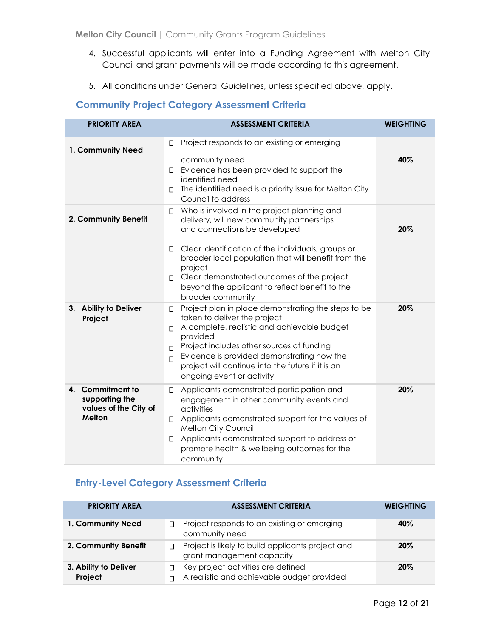- 4. Successful applicants will enter into a Funding Agreement with Melton City Council and grant payments will be made according to this agreement.
- 5. All conditions under General Guidelines, unless specified above, apply.

### <span id="page-11-0"></span>**Community Project Category Assessment Criteria**

| <b>PRIORITY AREA</b>                                                         | <b>ASSESSMENT CRITERIA</b>                                                                                                                                                                                                                                                                                                                                                         | <b>WEIGHTING</b> |
|------------------------------------------------------------------------------|------------------------------------------------------------------------------------------------------------------------------------------------------------------------------------------------------------------------------------------------------------------------------------------------------------------------------------------------------------------------------------|------------------|
| 1. Community Need                                                            | Project responds to an existing or emerging<br>П<br>community need<br>Evidence has been provided to support the<br>0.<br>identified need<br>The identified need is a priority issue for Melton City<br>П.<br>Council to address                                                                                                                                                    | 40%              |
| 2. Community Benefit                                                         | Who is involved in the project planning and<br>Π.<br>delivery, will new community partnerships<br>and connections be developed<br>Clear identification of the individuals, groups or<br>□<br>broader local population that will benefit from the<br>project<br>□ Clear demonstrated outcomes of the project<br>beyond the applicant to reflect benefit to the<br>broader community | 20%              |
| 3. Ability to Deliver<br>Project                                             | Project plan in place demonstrating the steps to be<br>П.<br>taken to deliver the project<br>A complete, realistic and achievable budget<br>П.<br>provided<br>Project includes other sources of funding<br>$\Box$<br>Evidence is provided demonstrating how the<br>$\Box$<br>project will continue into the future if it is an<br>ongoing event or activity                        | 20%              |
| 4. Commitment to<br>supporting the<br>values of the City of<br><b>Melton</b> | Applicants demonstrated participation and<br>п<br>engagement in other community events and<br>activities<br>□ Applicants demonstrated support for the values of<br>Melton City Council<br>I Applicants demonstrated support to address or<br>promote health & wellbeing outcomes for the<br>community                                                                              | 20%              |

### <span id="page-11-1"></span>**Entry-Level Category Assessment Criteria**

| <b>PRIORITY AREA</b>             | <b>ASSESSMENT CRITERIA</b>                                                           | <b>WEIGHTING</b> |
|----------------------------------|--------------------------------------------------------------------------------------|------------------|
| 1. Community Need                | Project responds to an existing or emerging<br>П.<br>community need                  | 40%              |
| 2. Community Benefit             | Project is likely to build applicants project and<br>П.<br>grant management capacity | 20%              |
| 3. Ability to Deliver<br>Project | Key project activities are defined<br>A realistic and achievable budget provided     | 20%              |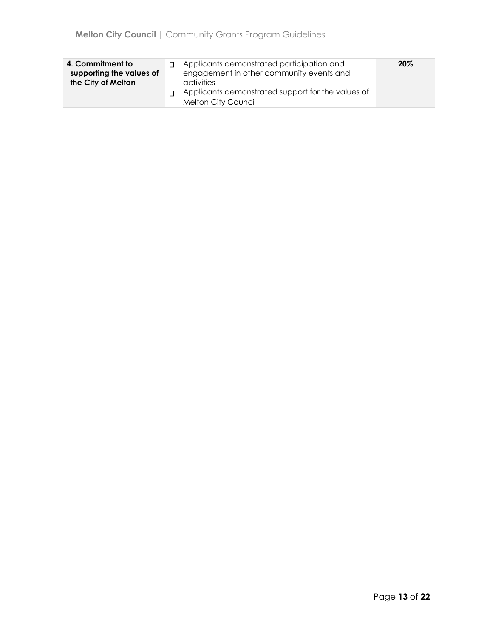| 4. Commitment to<br>supporting the values of<br>the City of Melton |  | Applicants demonstrated participation and<br>engagement in other community events and<br>activities<br>$\Box$ Applicants demonstrated support for the values of<br><b>Melton City Council</b> | 20% |
|--------------------------------------------------------------------|--|-----------------------------------------------------------------------------------------------------------------------------------------------------------------------------------------------|-----|
|--------------------------------------------------------------------|--|-----------------------------------------------------------------------------------------------------------------------------------------------------------------------------------------------|-----|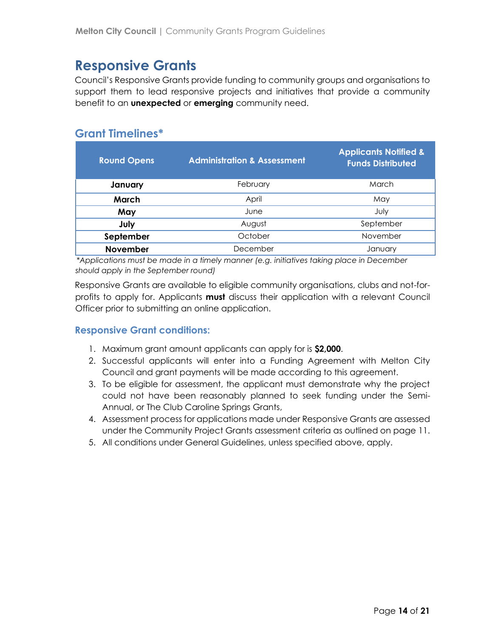# <span id="page-13-0"></span>**Responsive Grants**

Council's Responsive Grants provide funding to community groups and organisations to support them to lead responsive projects and initiatives that provide a community benefit to an **unexpected** or **emerging** community need.

### <span id="page-13-1"></span>**Grant Timelines\***

| <b>Round Opens</b> | <b>Administration &amp; Assessment</b> | <b>Applicants Notified &amp;</b><br><b>Funds Distributed</b> |
|--------------------|----------------------------------------|--------------------------------------------------------------|
| January            | February                               | March                                                        |
| March              | April                                  | May                                                          |
| May                | June                                   | July                                                         |
| July               | August                                 | September                                                    |
| September          | October                                | November                                                     |
| <b>November</b>    | December                               | January                                                      |

*\*Applications must be made in a timely manner (e.g. initiatives taking place in December should apply in the September round)*

Responsive Grants are available to eligible community organisations, clubs and not-forprofits to apply for. Applicants **must** discuss their application with a relevant Council Officer prior to submitting an online application.

#### **Responsive Grant conditions:**

- 1. Maximum grant amount applicants can apply for is **\$2,000**.
- 2. Successful applicants will enter into a Funding Agreement with Melton City Council and grant payments will be made according to this agreement.
- 3. To be eligible for assessment, the applicant must demonstrate why the project could not have been reasonably planned to seek funding under the Semi-Annual, or The Club Caroline Springs Grants,
- 4. Assessment process for applications made under Responsive Grants are assessed under the Community Project Grants assessment criteria as outlined on page 11.
- 5. All conditions under General Guidelines, unless specified above, apply.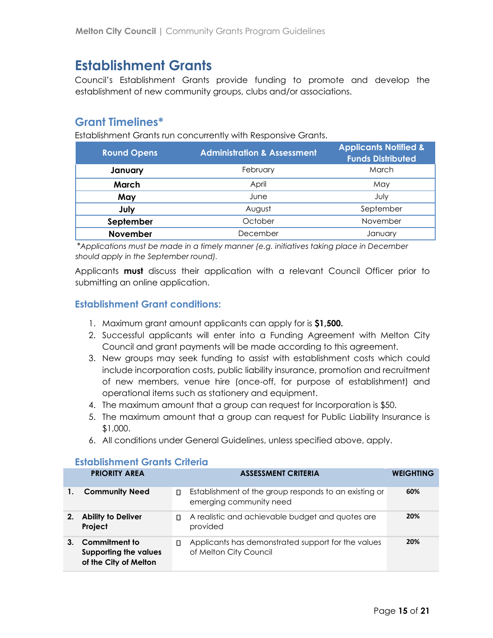# <span id="page-14-0"></span>**Establishment Grants**

Council's Establishment Grants provide funding to promote and develop the establishment of new community groups, clubs and/or associations.

### <span id="page-14-1"></span>**Grant Timelines\***

Establishment Grants run concurrently with Responsive Grants.

| <b>Round Opens</b> | <b>Administration &amp; Assessment</b> | <b>Applicants Notified &amp;</b><br><b>Funds Distributed</b> |
|--------------------|----------------------------------------|--------------------------------------------------------------|
| January            | February                               | March                                                        |
| March              | April                                  | May                                                          |
| May                | June                                   | July                                                         |
| July               | August                                 | September                                                    |
| September          | October                                | November                                                     |
| November           | December                               | January                                                      |

*\*Applications must be made in a timely manner (e.g. initiatives taking place in December should apply in the September round).*

Applicants **must** discuss their application with a relevant Council Officer prior to submitting an online application.

#### **Establishment Grant conditions:**

- 1. Maximum grant amount applicants can apply for is **\$1,500.**
- 2. Successful applicants will enter into a Funding Agreement with Melton City Council and grant payments will be made according to this agreement.
- 3. New groups may seek funding to assist with establishment costs which could include incorporation costs, public liability insurance, promotion and recruitment of new members, venue hire (once-off, for purpose of establishment) and operational items such as stationery and equipment.
- 4. The maximum amount that a group can request for Incorporation is \$50.
- 5. The maximum amount that a group can request for Public Liability Insurance is \$1,000.
- 6. All conditions under General Guidelines, unless specified above, apply.

#### <span id="page-14-2"></span>**Establishment Grants Criteria**

|    | <b>PRIORITY AREA</b>                                                   |    | <b>ASSESSMENT CRITERIA</b>                                                       | <b>WEIGHTING</b> |
|----|------------------------------------------------------------------------|----|----------------------------------------------------------------------------------|------------------|
|    | <b>Community Need</b>                                                  | П. | Establishment of the group responds to an existing or<br>emerging community need | 60%              |
| 2. | <b>Ability to Deliver</b><br>Project                                   | П. | A realistic and achievable budget and quotes are<br>provided                     | 20%              |
|    | Commitment to<br><b>Supporting the values</b><br>of the City of Melton |    | Applicants has demonstrated support for the values<br>of Melton City Council     | 20%              |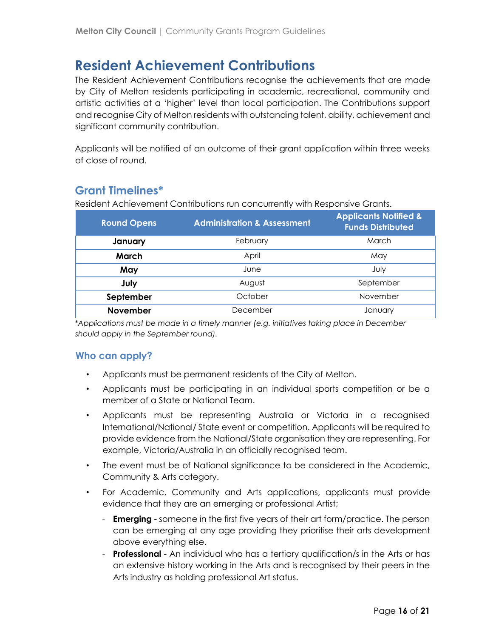# <span id="page-15-0"></span>**Resident Achievement Contributions**

The Resident Achievement Contributions recognise the achievements that are made by City of Melton residents participating in academic, recreational, community and artistic activities at a 'higher' level than local participation. The Contributions support and recognise City of Melton residents with outstanding talent, ability, achievement and significant community contribution.

Applicants will be notified of an outcome of their grant application within three weeks of close of round.

### <span id="page-15-1"></span>**Grant Timelines\***

Resident Achievement Contributions run concurrently with Responsive Grants.

| <b>Round Opens</b> | <b>Administration &amp; Assessment</b> | <b>Applicants Notified &amp;</b><br><b>Funds Distributed</b> |
|--------------------|----------------------------------------|--------------------------------------------------------------|
| January            | February                               | March                                                        |
| March              | April                                  | May                                                          |
| May                | June                                   | July                                                         |
| July               | August                                 | September                                                    |
| September          | October                                | November                                                     |
| November           | December                               | January                                                      |

*\*Applications must be made in a timely manner (e.g. initiatives taking place in December should apply in the September round).*

#### <span id="page-15-2"></span>**Who can apply?**

- Applicants must be permanent residents of the City of Melton.
- Applicants must be participating in an individual sports competition or be a member of a State or National Team.
- Applicants must be representing Australia or Victoria in a recognised International/National/ State event or competition. Applicants will be required to provide evidence from the National/State organisation they are representing. For example, Victoria/Australia in an officially recognised team.
- The event must be of National significance to be considered in the Academic, Community & Arts category.
- For Academic, Community and Arts applications, applicants must provide evidence that they are an emerging or professional Artist;
	- **Emerging** someone in the first five years of their art form/practice. The person can be emerging at any age providing they prioritise their arts development above everything else.
	- **Professional**  An individual who has a tertiary qualification/s in the Arts or has an extensive history working in the Arts and is recognised by their peers in the Arts industry as holding professional Art status.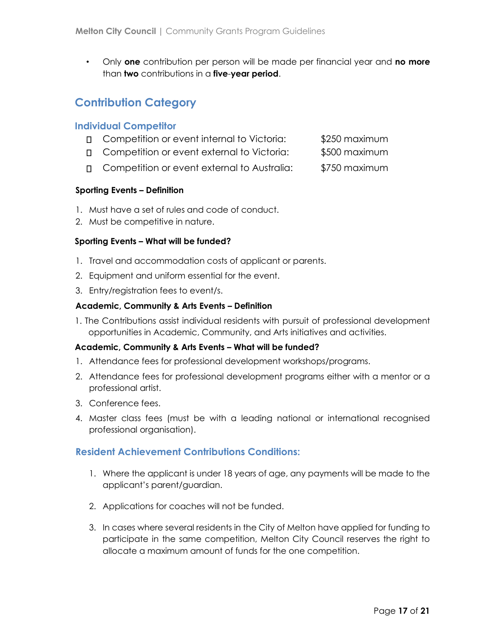• Only **one** contribution per person will be made per financial year and **no more** than **two** contributions in a **five**-**year period**.

### <span id="page-16-0"></span>**Contribution Category**

#### **Individual Competitor**

- □ Competition or event internal to Victoria: \$250 maximum
- Competition or event external to Victoria: \$500 maximum
- □ Competition or event external to Australia: \$750 maximum

#### **Sporting Events – Definition**

- 1. Must have a set of rules and code of conduct.
- 2. Must be competitive in nature.

#### **Sporting Events – What will be funded?**

- 1. Travel and accommodation costs of applicant or parents.
- 2. Equipment and uniform essential for the event.
- 3. Entry/registration fees to event/s.

#### **Academic, Community & Arts Events – Definition**

1. The Contributions assist individual residents with pursuit of professional development opportunities in Academic, Community, and Arts initiatives and activities.

#### **Academic, Community & Arts Events – What will be funded?**

- 1. Attendance fees for professional development workshops/programs.
- 2. Attendance fees for professional development programs either with a mentor or a professional artist.
- 3. Conference fees.
- 4. Master class fees (must be with a leading national or international recognised professional organisation).

#### <span id="page-16-1"></span>**Resident Achievement Contributions Conditions:**

- 1. Where the applicant is under 18 years of age, any payments will be made to the applicant's parent/guardian.
- 2. Applications for coaches will not be funded.
- 3. In cases where several residents in the City of Melton have applied for funding to participate in the same competition, Melton City Council reserves the right to allocate a maximum amount of funds for the one competition.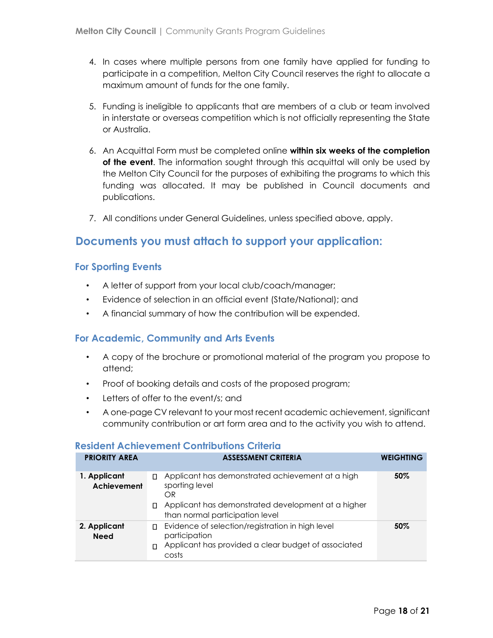- 4. In cases where multiple persons from one family have applied for funding to participate in a competition, Melton City Council reserves the right to allocate a maximum amount of funds for the one family.
- 5. Funding is ineligible to applicants that are members of a club or team involved in interstate or overseas competition which is not officially representing the State or Australia.
- 6. An Acquittal Form must be completed online **within six weeks of the completion of the event**. The information sought through this acquittal will only be used by the Melton City Council for the purposes of exhibiting the programs to which this funding was allocated. It may be published in Council documents and publications.
- 7. All conditions under General Guidelines, unless specified above, apply.

### **Documents you must attach to support your application:**

#### **For Sporting Events**

- A letter of support from your local club/coach/manager;
- Evidence of selection in an official event (State/National); and
- A financial summary of how the contribution will be expended.

#### **For Academic, Community and Arts Events**

- A copy of the brochure or promotional material of the program you propose to attend;
- Proof of booking details and costs of the proposed program;
- Letters of offer to the event/s; and
- A one-page CV relevant to your most recent academic achievement, significant community contribution or art form area and to the activity you wish to attend.

#### **Resident Achievement Contributions Criteria**

| <b>PRIORITY AREA</b>        | <b>ASSESSMENT CRITERIA</b>                                                                                                                                                    | <b>WEIGHTING</b> |
|-----------------------------|-------------------------------------------------------------------------------------------------------------------------------------------------------------------------------|------------------|
| 1. Applicant<br>Achievement | Applicant has demonstrated achievement at a high<br>П.<br>sporting level<br>OR<br>Applicant has demonstrated development at a higher<br>П.<br>than normal participation level | 50%              |
| 2. Applicant<br><b>Need</b> | Evidence of selection/registration in high level<br>П.<br>participation<br>Applicant has provided a clear budget of associated<br>$\Box$<br>costs                             | 50%              |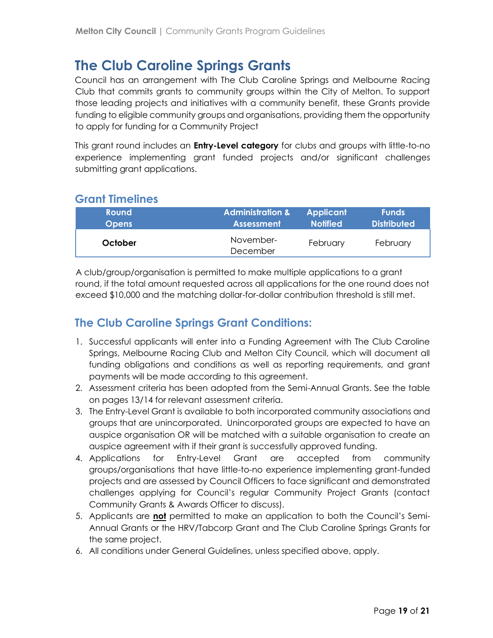# <span id="page-18-0"></span>**The Club Caroline Springs Grants**

Council has an arrangement with The Club Caroline Springs and Melbourne Racing Club that commits grants to community groups within the City of Melton. To support those leading projects and initiatives with a community benefit, these Grants provide funding to eligible community groups and organisations, providing them the opportunity to apply for funding for a Community Project

This grant round includes an **Entry-Level category** for clubs and groups with little-to-no experience implementing grant funded projects and/or significant challenges submitting grant applications.

### <span id="page-18-1"></span>**Grant Timelines**

| <b>Round</b> | <b>Administration &amp;</b> | <b>Applicant</b> | <b>Funds</b>       |
|--------------|-----------------------------|------------------|--------------------|
| <b>Opens</b> | <b>Assessment</b>           | <b>Notified</b>  | <b>Distributed</b> |
| October      | November-<br>December       | February         | February           |

A club/group/organisation is permitted to make multiple applications to a grant round, if the total amount requested across all applications for the one round does not exceed \$10,000 and the matching dollar-for-dollar contribution threshold is still met.

### **The Club Caroline Springs Grant Conditions:**

- 1. Successful applicants will enter into a Funding Agreement with The Club Caroline Springs, Melbourne Racing Club and Melton City Council, which will document all funding obligations and conditions as well as reporting requirements, and grant payments will be made according to this agreement.
- 2. Assessment criteria has been adopted from the Semi-Annual Grants. See the table on pages 13/14 for relevant assessment criteria.
- 3. The Entry-Level Grant is available to both incorporated community associations and groups that are unincorporated. Unincorporated groups are expected to have an auspice organisation OR will be matched with a suitable organisation to create an auspice agreement with if their grant is successfully approved funding.
- 4. Applications for Entry-Level Grant are accepted from community groups/organisations that have little-to-no experience implementing grant-funded projects and are assessed by Council Officers to face significant and demonstrated challenges applying for Council's regular Community Project Grants (contact Community Grants & Awards Officer to discuss).
- 5. Applicants are **not** permitted to make an application to both the Council's Semi-Annual Grants or the HRV/Tabcorp Grant and The Club Caroline Springs Grants for the same project.
- 6. All conditions under General Guidelines, unless specified above, apply.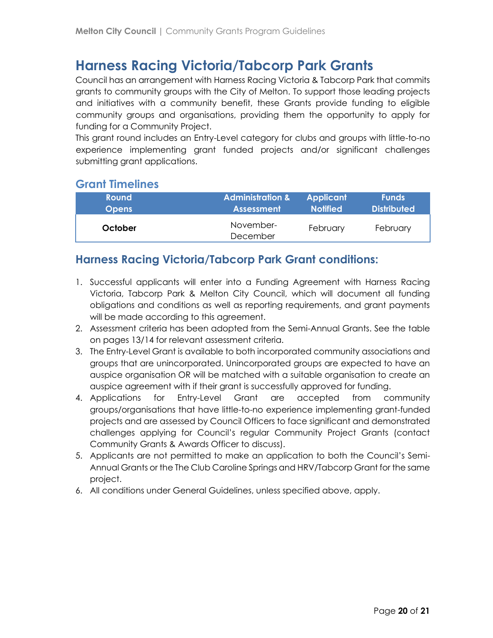# <span id="page-19-0"></span>**Harness Racing Victoria/Tabcorp Park Grants**

Council has an arrangement with Harness Racing Victoria & Tabcorp Park that commits grants to community groups with the City of Melton. To support those leading projects and initiatives with a community benefit, these Grants provide funding to eligible community groups and organisations, providing them the opportunity to apply for funding for a Community Project.

This grant round includes an Entry-Level category for clubs and groups with little-to-no experience implementing grant funded projects and/or significant challenges submitting grant applications.

#### <span id="page-19-1"></span>**Grant Timelines**

| <b>Round</b> | <b>Administration &amp;</b> | <b>Applicant</b> | <b>Funds</b>       |
|--------------|-----------------------------|------------------|--------------------|
| <b>Opens</b> | <b>Assessment</b>           | <b>Notified</b>  | <b>Distributed</b> |
| October      | November-<br>December       | February         | February           |

### <span id="page-19-2"></span>**Harness Racing Victoria/Tabcorp Park Grant conditions:**

- 1. Successful applicants will enter into a Funding Agreement with Harness Racing Victoria, Tabcorp Park & Melton City Council, which will document all funding obligations and conditions as well as reporting requirements, and grant payments will be made according to this agreement.
- 2. Assessment criteria has been adopted from the Semi-Annual Grants. See the table on pages 13/14 for relevant assessment criteria.
- 3. The Entry-Level Grant is available to both incorporated community associations and groups that are unincorporated. Unincorporated groups are expected to have an auspice organisation OR will be matched with a suitable organisation to create an auspice agreement with if their grant is successfully approved for funding.
- 4. Applications for Entry-Level Grant are accepted from community groups/organisations that have little-to-no experience implementing grant-funded projects and are assessed by Council Officers to face significant and demonstrated challenges applying for Council's regular Community Project Grants (contact Community Grants & Awards Officer to discuss).
- 5. Applicants are not permitted to make an application to both the Council's Semi-Annual Grants or the The Club Caroline Springs and HRV/Tabcorp Grant for the same project.
- <span id="page-19-3"></span>6. All conditions under General Guidelines, unless specified above, apply.